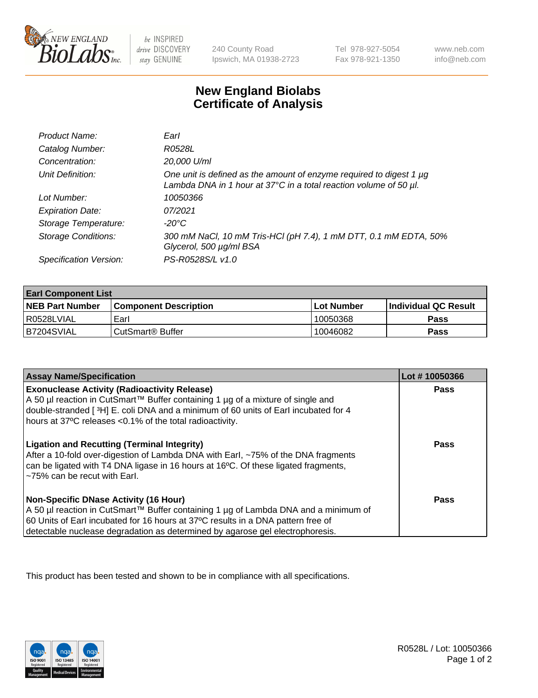

 $be$  INSPIRED drive DISCOVERY stay GENUINE

240 County Road Ipswich, MA 01938-2723 Tel 978-927-5054 Fax 978-921-1350 www.neb.com info@neb.com

## **New England Biolabs Certificate of Analysis**

| Product Name:              | Earl                                                                                                                                     |
|----------------------------|------------------------------------------------------------------------------------------------------------------------------------------|
| Catalog Number:            | R0528L                                                                                                                                   |
| Concentration:             | 20,000 U/ml                                                                                                                              |
| Unit Definition:           | One unit is defined as the amount of enzyme required to digest 1 µg<br>Lambda DNA in 1 hour at 37°C in a total reaction volume of 50 µl. |
| Lot Number:                | 10050366                                                                                                                                 |
| <b>Expiration Date:</b>    | 07/2021                                                                                                                                  |
| Storage Temperature:       | -20°C                                                                                                                                    |
| <b>Storage Conditions:</b> | 300 mM NaCl, 10 mM Tris-HCl (pH 7.4), 1 mM DTT, 0.1 mM EDTA, 50%<br>Glycerol, 500 µg/ml BSA                                              |
| Specification Version:     | PS-R0528S/L v1.0                                                                                                                         |

| <b>Earl Component List</b> |                              |            |                             |  |  |
|----------------------------|------------------------------|------------|-----------------------------|--|--|
| <b>NEB Part Number</b>     | <b>Component Description</b> | Lot Number | <b>Individual QC Result</b> |  |  |
| I R0528LVIAL               | Earl                         | 10050368   | Pass                        |  |  |
| B7204SVIAL                 | ⊧CutSmart® Buffer            | 10046082   | Pass                        |  |  |

| <b>Assay Name/Specification</b>                                                                                                                                                                                                                                                                                           | Lot #10050366 |
|---------------------------------------------------------------------------------------------------------------------------------------------------------------------------------------------------------------------------------------------------------------------------------------------------------------------------|---------------|
| <b>Exonuclease Activity (Radioactivity Release)</b><br>A 50 µl reaction in CutSmart™ Buffer containing 1 µg of a mixture of single and<br>double-stranded [3H] E. coli DNA and a minimum of 60 units of Earl incubated for 4                                                                                              | <b>Pass</b>   |
| hours at 37°C releases <0.1% of the total radioactivity.<br><b>Ligation and Recutting (Terminal Integrity)</b><br>After a 10-fold over-digestion of Lambda DNA with Earl, ~75% of the DNA fragments<br>can be ligated with T4 DNA ligase in 16 hours at 16°C. Of these ligated fragments,<br>~75% can be recut with Earl. | Pass          |
| Non-Specific DNase Activity (16 Hour)<br>  A 50 µl reaction in CutSmart™ Buffer containing 1 µg of Lambda DNA and a minimum of<br>60 Units of Earl incubated for 16 hours at 37°C results in a DNA pattern free of<br>detectable nuclease degradation as determined by agarose gel electrophoresis.                       | Pass          |

This product has been tested and shown to be in compliance with all specifications.